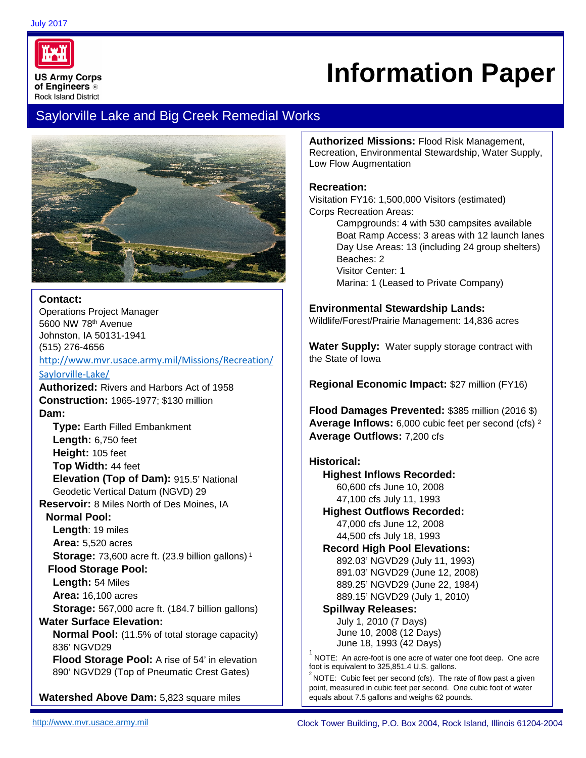

# **Information Paper**

# Saylorville Lake and Big Creek Remedial Works



## **Contact:**

Operations Project Manager 5600 NW 78th Avenue Johnston, IA 50131-1941 (515) 276-4656

[http://www.mvr.usace.army.mil/Missions/Recreation/](http://www.mvr.usace.army.mil/Missions/Recreation/Saylorville-Lake/) [Saylorville-Lake/](http://www.mvr.usace.army.mil/Missions/Recreation/Saylorville-Lake/)

**Authorized:** Rivers and Harbors Act of 1958 **Construction:** 1965-1977; \$130 million **Dam:** 

**Type:** Earth Filled Embankment **Length:** 6,750 feet **Height:** 105 feet **Top Width:** 44 feet **Elevation (Top of Dam):** 915.5' National Geodetic Vertical Datum (NGVD) 29 **Reservoir:** 8 Miles North of Des Moines, IA **Normal Pool: Length**: 19 miles **Area:** 5,520 acres **Storage:** 73,600 acre ft. (23.9 billion gallons)<sup>1</sup>  **Flood Storage Pool: Length:** 54 Miles **Area:** 16,100 acres **Storage:** 567,000 acre ft. (184.7 billion gallons) **Water Surface Elevation: Normal Pool:** (11.5% of total storage capacity) 836' NGVD29 **Flood Storage Pool:** A rise of 54' in elevation 890' NGVD29 (Top of Pneumatic Crest Gates)

**Watershed Above Dam:** 5,823 square miles

**Authorized Missions:** Flood Risk Management, Recreation, Environmental Stewardship, Water Supply, Low Flow Augmentation

## **Recreation:**

Visitation FY16: 1,500,000 Visitors (estimated) Corps Recreation Areas:

> Campgrounds: 4 with 530 campsites available Boat Ramp Access: 3 areas with 12 launch lanes Day Use Areas: 13 (including 24 group shelters) Beaches: 2 Visitor Center: 1 Marina: 1 (Leased to Private Company)

## **Environmental Stewardship Lands:**

Wildlife/Forest/Prairie Management: 14,836 acres

**Water Supply:** Water supply storage contract with the State of Iowa

**Regional Economic Impact:** \$27 million (FY16)

**Flood Damages Prevented:** \$385 million (2016 \$) **Average Inflows:** 6,000 cubic feet per second (cfs) <sup>2</sup> **Average Outflows:** 7,200 cfs

# **Historical:**

**Highest Inflows Recorded:** 60,600 cfs June 10, 2008 47,100 cfs July 11, 1993 **Highest Outflows Recorded:** 47,000 cfs June 12, 2008 44,500 cfs July 18, 1993 **Record High Pool Elevations:** 892.03' NGVD29 (July 11, 1993) 891.03' NGVD29 (June 12, 2008) 889.25' NGVD29 (June 22, 1984) 889.15' NGVD29 (July 1, 2010)

#### **Spillway Releases:**

July 1, 2010 (7 Days) June 10, 2008 (12 Days) June 18, 1993 (42 Days)

 $1$  NOTE: An acre-foot is one acre of water one foot deep. One acre foot is equivalent to 325,851.4 U.S. gallons.

 $2^{2}$ NOTE: Cubic feet per second (cfs). The rate of flow past a given point, measured in cubic feet per second. One cubic foot of water equals about 7.5 gallons and weighs 62 pounds.